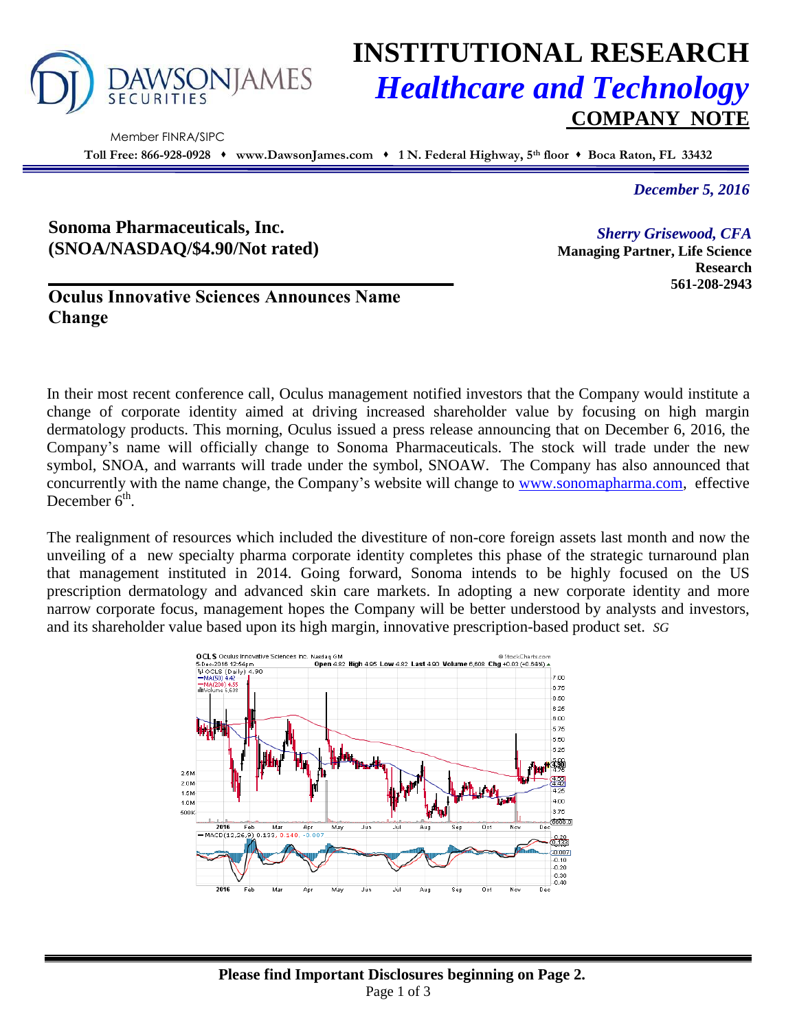

# **INSTITUTIONAL RESEARCH** *Healthcare and Technology* **COMPANY NOTE**

 Member FINRA/SIPC **Toll Free: 866-928-0928 www.DawsonJames.com 1 N. Federal Highway, 5th floor Boca Raton, FL 33432**

*December 5, 2016*

**Research 561-208-2943**

*Sherry Grisewood, CFA* **Managing Partner, Life Science** 

## **Sonoma Pharmaceuticals, Inc. (SNOA/NASDAQ/\$4.90/Not rated)**

## **Oculus Innovative Sciences Announces Name Change**

In their most recent conference call, Oculus management notified investors that the Company would institute a change of corporate identity aimed at driving increased shareholder value by focusing on high margin dermatology products. This morning, Oculus issued a press release announcing that on December 6, 2016, the Company's name will officially change to Sonoma Pharmaceuticals. The stock will trade under the new symbol, SNOA, and warrants will trade under the symbol, SNOAW. The Company has also announced that concurrently with the name change, the Company's website will change to [www.sonomapharma.com,](http://www.sonomapharma.com/) effective December  $\ddot{6}$ <sup>th</sup>.

The realignment of resources which included the divestiture of non-core foreign assets last month and now the unveiling of a new specialty pharma corporate identity completes this phase of the strategic turnaround plan that management instituted in 2014. Going forward, Sonoma intends to be highly focused on the US prescription dermatology and advanced skin care markets. In adopting a new corporate identity and more narrow corporate focus, management hopes the Company will be better understood by analysts and investors, and its shareholder value based upon its high margin, innovative prescription-based product set. *SG*

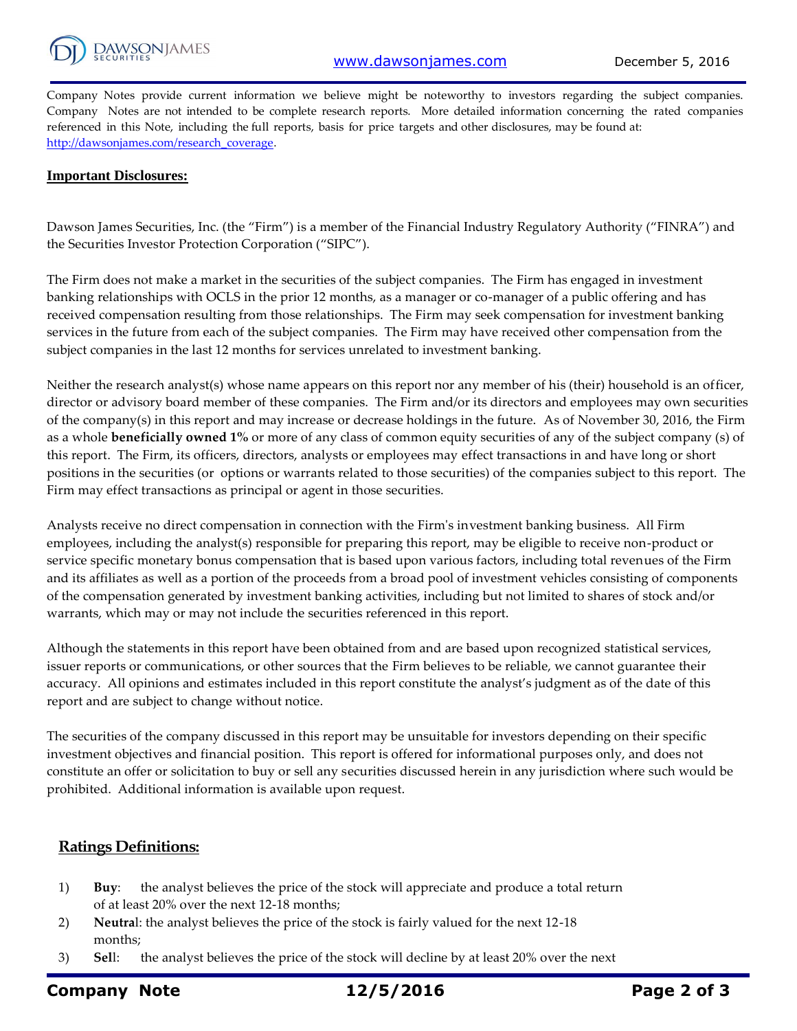

Company Notes provide current information we believe might be noteworthy to investors regarding the subject companies. Company Notes are not intended to be complete research reports. More detailed information concerning the rated companies referenced in this Note, including the full reports, basis for price targets and other disclosures, may be found at: [http://dawsonjames.com/research\\_coverage.](http://dawsonjames.com/research_coverage)

#### **Important Disclosures:**

Dawson James Securities, Inc. (the "Firm") is a member of the Financial Industry Regulatory Authority ("FINRA") and the Securities Investor Protection Corporation ("SIPC").

The Firm does not make a market in the securities of the subject companies. The Firm has engaged in investment banking relationships with OCLS in the prior 12 months, as a manager or co-manager of a public offering and has received compensation resulting from those relationships. The Firm may seek compensation for investment banking services in the future from each of the subject companies. The Firm may have received other compensation from the subject companies in the last 12 months for services unrelated to investment banking.

Neither the research analyst(s) whose name appears on this report nor any member of his (their) household is an officer, director or advisory board member of these companies. The Firm and/or its directors and employees may own securities of the company(s) in this report and may increase or decrease holdings in the future. As of November 30, 2016, the Firm as a whole **beneficially owned 1%** or more of any class of common equity securities of any of the subject company (s) of this report. The Firm, its officers, directors, analysts or employees may effect transactions in and have long or short positions in the securities (or options or warrants related to those securities) of the companies subject to this report. The Firm may effect transactions as principal or agent in those securities.

Analysts receive no direct compensation in connection with the Firm's investment banking business. All Firm employees, including the analyst(s) responsible for preparing this report, may be eligible to receive non-product or service specific monetary bonus compensation that is based upon various factors, including total revenues of the Firm and its affiliates as well as a portion of the proceeds from a broad pool of investment vehicles consisting of components of the compensation generated by investment banking activities, including but not limited to shares of stock and/or warrants, which may or may not include the securities referenced in this report.

Although the statements in this report have been obtained from and are based upon recognized statistical services, issuer reports or communications, or other sources that the Firm believes to be reliable, we cannot guarantee their accuracy. All opinions and estimates included in this report constitute the analyst's judgment as of the date of this report and are subject to change without notice.

The securities of the company discussed in this report may be unsuitable for investors depending on their specific investment objectives and financial position. This report is offered for informational purposes only, and does not constitute an offer or solicitation to buy or sell any securities discussed herein in any jurisdiction where such would be prohibited. Additional information is available upon request.

### **Ratings Definitions:**

- 1) **Buy**: the analyst believes the price of the stock will appreciate and produce a total return of at least 20% over the next 12-18 months;
- 2) **Neutra**l: the analyst believes the price of the stock is fairly valued for the next 12-18 months;
- 3) **Sel**l: the analyst believes the price of the stock will decline by at least 20% over the next